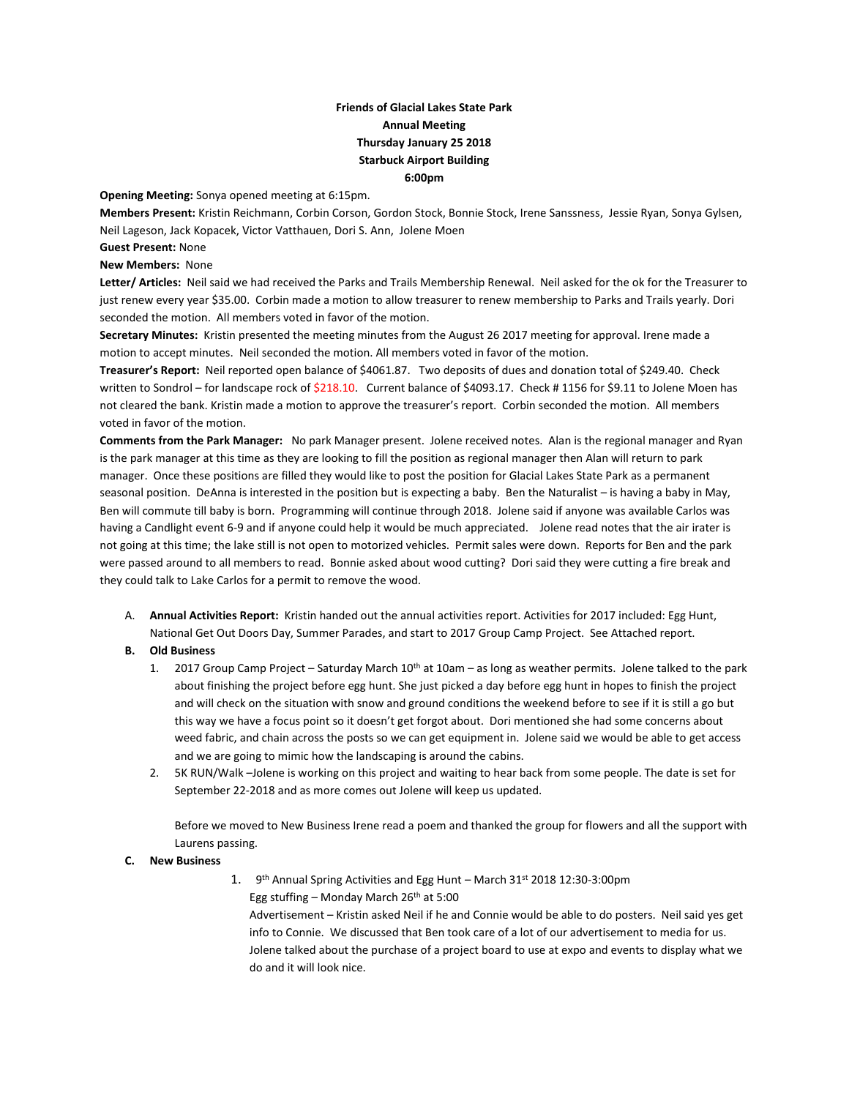## **Friends of Glacial Lakes State Park Annual Meeting Thursday January 25 2018 Starbuck Airport Building 6:00pm**

**Opening Meeting:** Sonya opened meeting at 6:15pm.

**Members Present:** Kristin Reichmann, Corbin Corson, Gordon Stock, Bonnie Stock, Irene Sanssness, Jessie Ryan, Sonya Gylsen, Neil Lageson, Jack Kopacek, Victor Vatthauen, Dori S. Ann, Jolene Moen

**Guest Present:** None

## **New Members:** None

**Letter/ Articles:** Neil said we had received the Parks and Trails Membership Renewal. Neil asked for the ok for the Treasurer to just renew every year \$35.00. Corbin made a motion to allow treasurer to renew membership to Parks and Trails yearly. Dori seconded the motion. All members voted in favor of the motion.

**Secretary Minutes:** Kristin presented the meeting minutes from the August 26 2017 meeting for approval. Irene made a motion to accept minutes. Neil seconded the motion. All members voted in favor of the motion.

**Treasurer's Report:** Neil reported open balance of \$4061.87. Two deposits of dues and donation total of \$249.40. Check written to Sondrol – for landscape rock of \$218.10. Current balance of \$4093.17. Check #1156 for \$9.11 to Jolene Moen has not cleared the bank. Kristin made a motion to approve the treasurer's report. Corbin seconded the motion. All members voted in favor of the motion.

**Comments from the Park Manager:** No park Manager present. Jolene received notes. Alan is the regional manager and Ryan is the park manager at this time as they are looking to fill the position as regional manager then Alan will return to park manager. Once these positions are filled they would like to post the position for Glacial Lakes State Park as a permanent seasonal position. DeAnna is interested in the position but is expecting a baby. Ben the Naturalist – is having a baby in May, Ben will commute till baby is born. Programming will continue through 2018. Jolene said if anyone was available Carlos was having a Candlight event 6-9 and if anyone could help it would be much appreciated. Jolene read notes that the air irater is not going at this time; the lake still is not open to motorized vehicles. Permit sales were down. Reports for Ben and the park were passed around to all members to read. Bonnie asked about wood cutting? Dori said they were cutting a fire break and they could talk to Lake Carlos for a permit to remove the wood.

- A. **Annual Activities Report:** Kristin handed out the annual activities report. Activities for 2017 included: Egg Hunt, National Get Out Doors Day, Summer Parades, and start to 2017 Group Camp Project. See Attached report.
- **B. Old Business**
	- 1. 2017 Group Camp Project Saturday March  $10^{th}$  at  $10$ am as long as weather permits. Jolene talked to the park about finishing the project before egg hunt. She just picked a day before egg hunt in hopes to finish the project and will check on the situation with snow and ground conditions the weekend before to see if it is still a go but this way we have a focus point so it doesn't get forgot about. Dori mentioned she had some concerns about weed fabric, and chain across the posts so we can get equipment in. Jolene said we would be able to get access and we are going to mimic how the landscaping is around the cabins.
	- 2. 5K RUN/Walk –Jolene is working on this project and waiting to hear back from some people. The date is set for September 22-2018 and as more comes out Jolene will keep us updated.

Before we moved to New Business Irene read a poem and thanked the group for flowers and all the support with Laurens passing.

## **C. New Business**

1. 9<sup>th</sup> Annual Spring Activities and Egg Hunt – March 31st 2018 12:30-3:00pm Egg stuffing – Monday March  $26<sup>th</sup>$  at 5:00

Advertisement – Kristin asked Neil if he and Connie would be able to do posters. Neil said yes get info to Connie. We discussed that Ben took care of a lot of our advertisement to media for us. Jolene talked about the purchase of a project board to use at expo and events to display what we do and it will look nice.